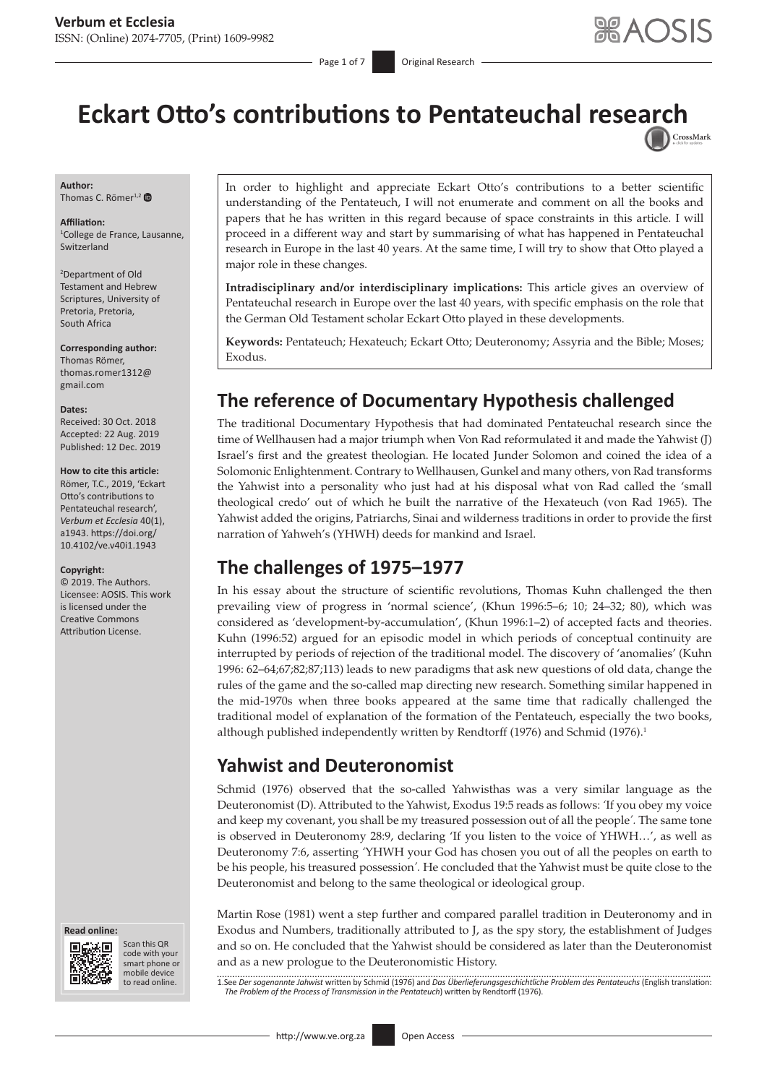# Eckart Otto's contributions to Pentateuchal rese[arch](http://crossmark.crossref.org/dialog/?doi=10.4102/ve.v40i1.1943=pdf&date_stamp=2019-12-12)

**Author:** Thomas C. Römer<sup>1,2</sup>

**Affiliation:** 1 College de France, Lausanne, Switzerland

2 Department of Old Testament and Hebrew Scriptures, University of Pretoria, Pretoria, South Africa

**Corresponding author:**

Thomas Römer, [thomas.romer1312@](mailto:thomas.romer1312@gmail.com) [gmail.com](mailto:thomas.romer1312@gmail.com)

#### **Dates:**

Received: 30 Oct. 2018 Accepted: 22 Aug. 2019 Published: 12 Dec. 2019

#### **How to cite this article:**

Römer, T.C., 2019, 'Eckart Otto's contributions to Pentateuchal research', *Verbum et Ecclesia* 40(1), a1943. [https://doi.org/](https://doi.org/10.4102/ve.v40i1.1943) [10.4102/ve.v40i1.1943](https://doi.org/10.4102/ve.v40i1.1943)

#### **Copyright:**

© 2019. The Authors. Licensee: AOSIS. This work is licensed under the Creative Commons Attribution License.





Scan this QR code with your Scan this QR<br>code with your<br>smart phone or<br>mobile device mobile device to read online. to read online.

In order to highlight and appreciate Eckart Otto's contributions to a better scientific understanding of the Pentateuch, I will not enumerate and comment on all the books and papers that he has written in this regard because of space constraints in this article. I will proceed in a different way and start by summarising of what has happened in Pentateuchal research in Europe in the last 40 years. At the same time, I will try to show that Otto played a major role in these changes.

**Intradisciplinary and/or interdisciplinary implications:** This article gives an overview of Pentateuchal research in Europe over the last 40 years, with specific emphasis on the role that the German Old Testament scholar Eckart Otto played in these developments.

**Keywords:** Pentateuch; Hexateuch; Eckart Otto; Deuteronomy; Assyria and the Bible; Moses; Exodus.

# **The reference of Documentary Hypothesis challenged**

The traditional Documentary Hypothesis that had dominated Pentateuchal research since the time of Wellhausen had a major triumph when Von Rad reformulated it and made the Yahwist (J) Israel's first and the greatest theologian. He located Junder Solomon and coined the idea of a Solomonic Enlightenment. Contrary to Wellhausen, Gunkel and many others, von Rad transforms the Yahwist into a personality who just had at his disposal what von Rad called the 'small theological credo' out of which he built the narrative of the Hexateuch (von Rad 1965). The Yahwist added the origins, Patriarchs, Sinai and wilderness traditions in order to provide the first narration of Yahweh's (YHWH) deeds for mankind and Israel.

# **The challenges of 1975–1977**

In his essay about the structure of scientific revolutions, Thomas Kuhn challenged the then prevailing view of progress in 'normal science', (Khun 1996:5–6; 10; 24–32; 80), which was considered as 'development-by-accumulation', (Khun 1996:1–2) of accepted facts and theories. Kuhn (1996:52) argued for an episodic model in which periods of conceptual continuity are interrupted by periods of rejection of the traditional model. The discovery of 'anomalies' (Kuhn 1996: 62–64;67;82;87;113) leads to new paradigms that ask new questions of old data, change the rules of the game and the so-called map directing new research. Something similar happened in the mid-1970s when three books appeared at the same time that radically challenged the traditional model of explanation of the formation of the Pentateuch, especially the two books, although published independently written by Rendtorff (1976) and Schmid (1976).<sup>1</sup>

# **Yahwist and Deuteronomist**

Schmid (1976) observed that the so-called Yahwisthas was a very similar language as the Deuteronomist (D). Attributed to the Yahwist, Exodus 19:5 reads as follows: *'*If you obey my voice and keep my covenant, you shall be my treasured possession out of all the people*'.* The same tone is observed in Deuteronomy 28:9, declaring 'If you listen to the voice of YHWH…', as well as Deuteronomy 7:6, asserting *'*YHWH your God has chosen you out of all the peoples on earth to be his people, his treasured possession*'.* He concluded that the Yahwist must be quite close to the Deuteronomist and belong to the same theological or ideological group.

Martin Rose (1981) went a step further and compared parallel tradition in Deuteronomy and in Exodus and Numbers, traditionally attributed to J, as the spy story, the establishment of Judges and so on. He concluded that the Yahwist should be considered as later than the Deuteronomist and as a new prologue to the Deuteronomistic History.

1.See *Der sogenannte Jahwist* written by Schmid (1976) and *Das Überlieferungsgeschichtliche Problem des Pentateuchs* (English translation: *The Problem of the Process of Transmission in the Pentateuch*) written by Rendtorff (1976).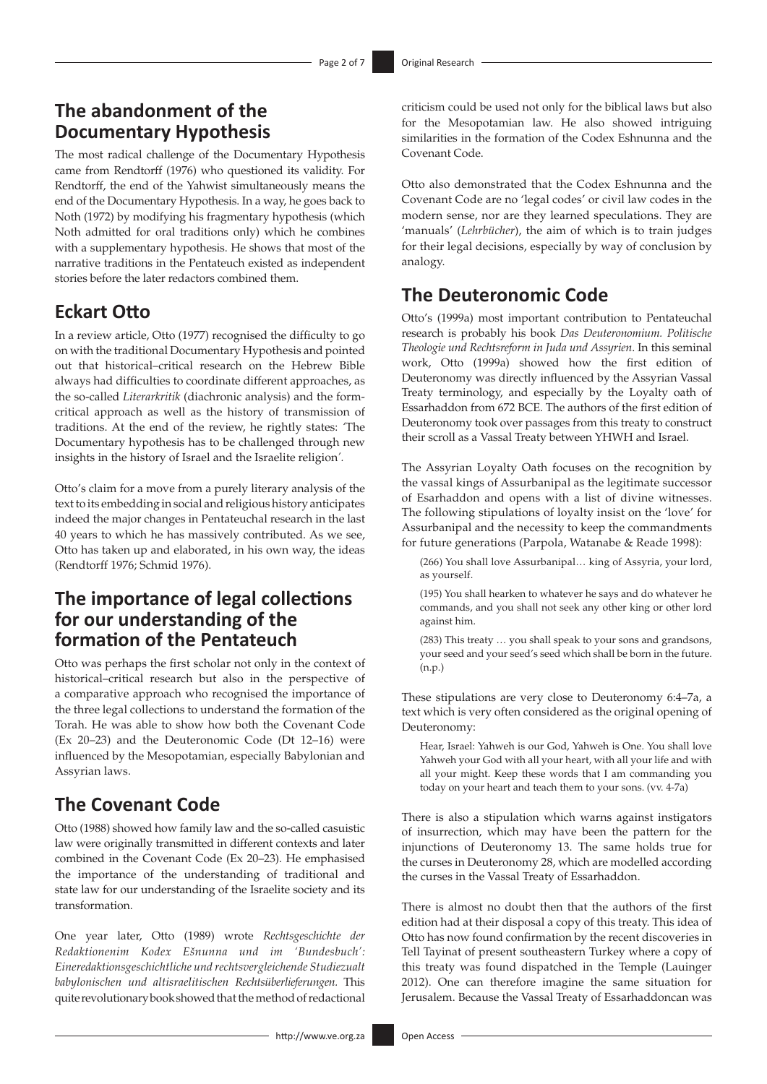# **The abandonment of the Documentary Hypothesis**

The most radical challenge of the Documentary Hypothesis came from Rendtorff (1976) who questioned its validity. For Rendtorff, the end of the Yahwist simultaneously means the end of the Documentary Hypothesis. In a way, he goes back to Noth (1972) by modifying his fragmentary hypothesis (which Noth admitted for oral traditions only) which he combines with a supplementary hypothesis. He shows that most of the narrative traditions in the Pentateuch existed as independent stories before the later redactors combined them.

#### **Eckart Otto**

In a review article, Otto (1977) recognised the difficulty to go on with the traditional Documentary Hypothesis and pointed out that historical–critical research on the Hebrew Bible always had difficulties to coordinate different approaches, as the so-called *Literarkritik* (diachronic analysis) and the formcritical approach as well as the history of transmission of traditions. At the end of the review, he rightly states: *'*The Documentary hypothesis has to be challenged through new insights in the history of Israel and the Israelite religion*'.*

Otto's claim for a move from a purely literary analysis of the text to its embedding in social and religious history anticipates indeed the major changes in Pentateuchal research in the last 40 years to which he has massively contributed. As we see, Otto has taken up and elaborated, in his own way, the ideas (Rendtorff 1976; Schmid 1976).

# **The importance of legal collections for our understanding of the formation of the Pentateuch**

Otto was perhaps the first scholar not only in the context of historical–critical research but also in the perspective of a comparative approach who recognised the importance of the three legal collections to understand the formation of the Torah. He was able to show how both the Covenant Code (Ex 20–23) and the Deuteronomic Code (Dt 12–16) were influenced by the Mesopotamian, especially Babylonian and Assyrian laws.

# **The Covenant Code**

Otto (1988) showed how family law and the so-called casuistic law were originally transmitted in different contexts and later combined in the Covenant Code (Ex 20–23). He emphasised the importance of the understanding of traditional and state law for our understanding of the Israelite society and its transformation.

One year later, Otto (1989) wrote *Rechtsgeschichte der Redaktionenim Kodex Ešnunna und im 'Bundesbuch': Eineredaktionsgeschichtliche und rechtsvergleichende Studiezualt babylonischen und altisraelitischen Rechtsüberlieferungen.* This quite revolutionary book showed that the method of redactional

criticism could be used not only for the biblical laws but also for the Mesopotamian law. He also showed intriguing similarities in the formation of the Codex Eshnunna and the Covenant Code.

Otto also demonstrated that the Codex Eshnunna and the Covenant Code are no 'legal codes' or civil law codes in the modern sense, nor are they learned speculations. They are 'manuals' (*Lehrbücher*), the aim of which is to train judges for their legal decisions, especially by way of conclusion by analogy.

#### **The Deuteronomic Code**

Otto's (1999a) most important contribution to Pentateuchal research is probably his book *Das Deuteronomium. Politische Theologie und Rechtsreform in Juda und Assyrien*. In this seminal work, Otto (1999a) showed how the first edition of Deuteronomy was directly influenced by the Assyrian Vassal Treaty terminology, and especially by the Loyalty oath of Essarhaddon from 672 BCE. The authors of the first edition of Deuteronomy took over passages from this treaty to construct their scroll as a Vassal Treaty between YHWH and Israel.

The Assyrian Loyalty Oath focuses on the recognition by the vassal kings of Assurbanipal as the legitimate successor of Esarhaddon and opens with a list of divine witnesses. The following stipulations of loyalty insist on the 'love' for Assurbanipal and the necessity to keep the commandments for future generations (Parpola, Watanabe & Reade 1998):

(266) You shall love Assurbanipal… king of Assyria, your lord, as yourself.

(195) You shall hearken to whatever he says and do whatever he commands, and you shall not seek any other king or other lord against him.

(283) This treaty … you shall speak to your sons and grandsons, your seed and your seed's seed which shall be born in the future. (n.p.)

These stipulations are very close to Deuteronomy 6:4–7a, a text which is very often considered as the original opening of Deuteronomy:

Hear, Israel: Yahweh is our God, Yahweh is One. You shall love Yahweh your God with all your heart, with all your life and with all your might. Keep these words that I am commanding you today on your heart and teach them to your sons. (vv. 4-7a)

There is also a stipulation which warns against instigators of insurrection, which may have been the pattern for the injunctions of Deuteronomy 13. The same holds true for the curses in Deuteronomy 28, which are modelled according the curses in the Vassal Treaty of Essarhaddon.

There is almost no doubt then that the authors of the first edition had at their disposal a copy of this treaty. This idea of Otto has now found confirmation by the recent discoveries in Tell Tayinat of present southeastern Turkey where a copy of this treaty was found dispatched in the Temple (Lauinger 2012). One can therefore imagine the same situation for Jerusalem. Because the Vassal Treaty of Essarhaddoncan was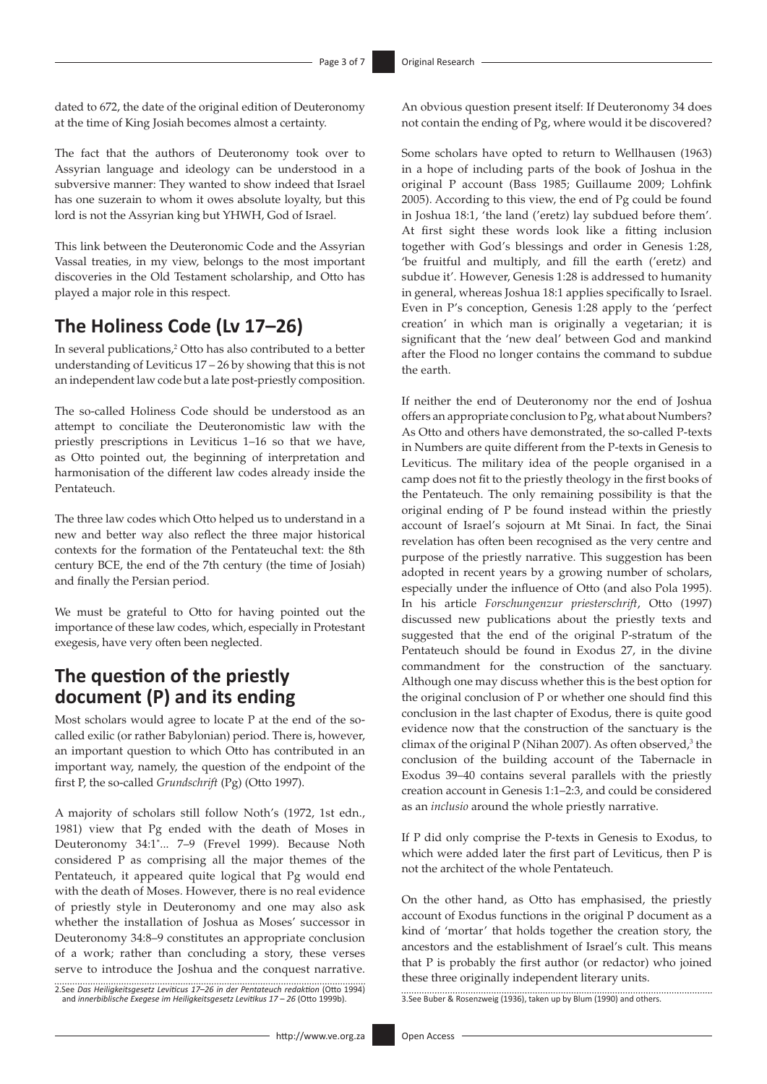dated to 672, the date of the original edition of Deuteronomy at the time of King Josiah becomes almost a certainty.

The fact that the authors of Deuteronomy took over to Assyrian language and ideology can be understood in a subversive manner: They wanted to show indeed that Israel has one suzerain to whom it owes absolute loyalty, but this lord is not the Assyrian king but YHWH, God of Israel.

This link between the Deuteronomic Code and the Assyrian Vassal treaties, in my view, belongs to the most important discoveries in the Old Testament scholarship, and Otto has played a major role in this respect.

# **The Holiness Code (Lv 17–26)**

In several publications,<sup>2</sup> Otto has also contributed to a better understanding of Leviticus 17 – 26 by showing that this is not an independent law code but a late post-priestly composition.

The so-called Holiness Code should be understood as an attempt to conciliate the Deuteronomistic law with the priestly prescriptions in Leviticus 1–16 so that we have, as Otto pointed out, the beginning of interpretation and harmonisation of the different law codes already inside the Pentateuch.

The three law codes which Otto helped us to understand in a new and better way also reflect the three major historical contexts for the formation of the Pentateuchal text: the 8th century BCE, the end of the 7th century (the time of Josiah) and finally the Persian period.

We must be grateful to Otto for having pointed out the importance of these law codes, which, especially in Protestant exegesis, have very often been neglected.

# **The question of the priestly document (P) and its ending**

Most scholars would agree to locate P at the end of the socalled exilic (or rather Babylonian) period. There is, however, an important question to which Otto has contributed in an important way, namely, the question of the endpoint of the first P, the so-called *Grundschrift* (Pg) (Otto 1997).

A majority of scholars still follow Noth's (1972, 1st edn., 1981) view that Pg ended with the death of Moses in Deuteronomy 34:1\* ... 7–9 (Frevel 1999). Because Noth considered P as comprising all the major themes of the Pentateuch, it appeared quite logical that Pg would end with the death of Moses. However, there is no real evidence of priestly style in Deuteronomy and one may also ask whether the installation of Joshua as Moses' successor in Deuteronomy 34:8–9 constitutes an appropriate conclusion of a work; rather than concluding a story, these verses serve to introduce the Joshua and the conquest narrative.

2.See *Das Heiligkeitsgesetz Leviticus 17–26 in der Pentateuch redaktion* (Otto 1994) and *innerbiblische Exegese im Heiligkeitsgesetz Levitikus 17 – 26* (Otto 1999b).

An obvious question present itself: If Deuteronomy 34 does not contain the ending of Pg, where would it be discovered?

Some scholars have opted to return to Wellhausen (1963) in a hope of including parts of the book of Joshua in the original P account (Bass 1985; Guillaume 2009; Lohfink 2005). According to this view, the end of Pg could be found in Joshua 18:1, 'the land ('eretz) lay subdued before them'*.*  At first sight these words look like a fitting inclusion together with God's blessings and order in Genesis 1:28, 'be fruitful and multiply, and fill the earth ('eretz) and subdue it'. However, Genesis 1:28 is addressed to humanity in general, whereas Joshua 18:1 applies specifically to Israel. Even in P's conception, Genesis 1:28 apply to the 'perfect creation' in which man is originally a vegetarian; it is significant that the 'new deal' between God and mankind after the Flood no longer contains the command to subdue the earth.

If neither the end of Deuteronomy nor the end of Joshua offers an appropriate conclusion to Pg, what about Numbers? As Otto and others have demonstrated, the so-called P-texts in Numbers are quite different from the P-texts in Genesis to Leviticus. The military idea of the people organised in a camp does not fit to the priestly theology in the first books of the Pentateuch. The only remaining possibility is that the original ending of P be found instead within the priestly account of Israel's sojourn at Mt Sinai. In fact, the Sinai revelation has often been recognised as the very centre and purpose of the priestly narrative. This suggestion has been adopted in recent years by a growing number of scholars, especially under the influence of Otto (and also Pola 1995). In his article *Forschungenzur priesterschrift*, Otto (1997) discussed new publications about the priestly texts and suggested that the end of the original P-stratum of the Pentateuch should be found in Exodus 27, in the divine commandment for the construction of the sanctuary. Although one may discuss whether this is the best option for the original conclusion of P or whether one should find this conclusion in the last chapter of Exodus, there is quite good evidence now that the construction of the sanctuary is the climax of the original  $P$  (Nihan 2007). As often observed,<sup>3</sup> the conclusion of the building account of the Tabernacle in Exodus 39–40 contains several parallels with the priestly creation account in Genesis 1:1–2:3, and could be considered as an *inclusio* around the whole priestly narrative.

If P did only comprise the P-texts in Genesis to Exodus, to which were added later the first part of Leviticus, then P is not the architect of the whole Pentateuch.

On the other hand, as Otto has emphasised, the priestly account of Exodus functions in the original P document as a kind of 'mortar' that holds together the creation story, the ancestors and the establishment of Israel's cult. This means that P is probably the first author (or redactor) who joined these three originally independent literary units.

3.See Buber & Rosenzweig (1936), taken up by Blum (1990) and others.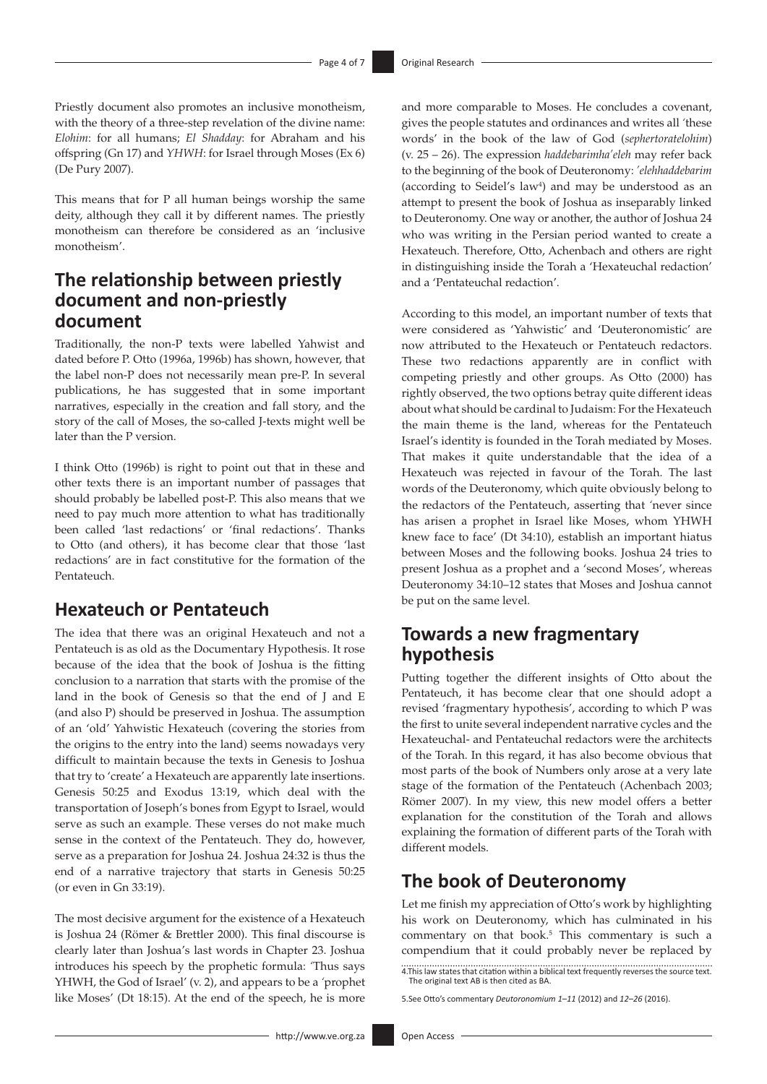Priestly document also promotes an inclusive monotheism, with the theory of a three-step revelation of the divine name: *Elohim*: for all humans; *El Shadday*: for Abraham and his offspring (Gn 17) and *YHWH*: for Israel through Moses (Ex 6) (De Pury 2007).

This means that for P all human beings worship the same deity, although they call it by different names. The priestly monotheism can therefore be considered as an 'inclusive monotheism'.

# **The relationship between priestly document and non-priestly document**

Traditionally, the non-P texts were labelled Yahwist and dated before P. Otto (1996a, 1996b) has shown, however, that the label non-P does not necessarily mean pre-P. In several publications, he has suggested that in some important narratives, especially in the creation and fall story, and the story of the call of Moses, the so-called J-texts might well be later than the P version.

I think Otto (1996b) is right to point out that in these and other texts there is an important number of passages that should probably be labelled post-P. This also means that we need to pay much more attention to what has traditionally been called 'last redactions' or 'final redactions'. Thanks to Otto (and others), it has become clear that those 'last redactions' are in fact constitutive for the formation of the Pentateuch.

#### **Hexateuch or Pentateuch**

The idea that there was an original Hexateuch and not a Pentateuch is as old as the Documentary Hypothesis. It rose because of the idea that the book of Joshua is the fitting conclusion to a narration that starts with the promise of the land in the book of Genesis so that the end of J and E (and also P) should be preserved in Joshua. The assumption of an 'old' Yahwistic Hexateuch (covering the stories from the origins to the entry into the land) seems nowadays very difficult to maintain because the texts in Genesis to Joshua that try to 'create' a Hexateuch are apparently late insertions. Genesis 50:25 and Exodus 13:19, which deal with the transportation of Joseph's bones from Egypt to Israel, would serve as such an example. These verses do not make much sense in the context of the Pentateuch. They do, however, serve as a preparation for Joshua 24. Joshua 24:32 is thus the end of a narrative trajectory that starts in Genesis 50:25 (or even in Gn 33:19).

The most decisive argument for the existence of a Hexateuch is Joshua 24 (Römer & Brettler 2000). This final discourse is clearly later than Joshua's last words in Chapter 23. Joshua introduces his speech by the prophetic formula: *'*Thus says YHWH, the God of Israel' (v. 2), and appears to be a *'*prophet like Moses' (Dt 18:15). At the end of the speech, he is more

and more comparable to Moses. He concludes a covenant, gives the people statutes and ordinances and writes all *'*these words' in the book of the law of God (*sephertoratelohim*) (v. 25 – 26). The expression *haddebarimha'eleh* may refer back to the beginning of the book of Deuteronomy: *'elehhaddebarim* (according to Seidel's law4 ) and may be understood as an attempt to present the book of Joshua as inseparably linked to Deuteronomy. One way or another, the author of Joshua 24 who was writing in the Persian period wanted to create a Hexateuch. Therefore, Otto, Achenbach and others are right in distinguishing inside the Torah a 'Hexateuchal redaction' and a 'Pentateuchal redaction'.

According to this model, an important number of texts that were considered as 'Yahwistic' and 'Deuteronomistic' are now attributed to the Hexateuch or Pentateuch redactors. These two redactions apparently are in conflict with competing priestly and other groups. As Otto (2000) has rightly observed, the two options betray quite different ideas about what should be cardinal to Judaism: For the Hexateuch the main theme is the land, whereas for the Pentateuch Israel's identity is founded in the Torah mediated by Moses. That makes it quite understandable that the idea of a Hexateuch was rejected in favour of the Torah. The last words of the Deuteronomy, which quite obviously belong to the redactors of the Pentateuch, asserting that *'*never since has arisen a prophet in Israel like Moses, whom YHWH knew face to face' (Dt 34:10), establish an important hiatus between Moses and the following books. Joshua 24 tries to present Joshua as a prophet and a 'second Moses', whereas Deuteronomy 34:10–12 states that Moses and Joshua cannot be put on the same level.

#### **Towards a new fragmentary hypothesis**

Putting together the different insights of Otto about the Pentateuch, it has become clear that one should adopt a revised 'fragmentary hypothesis', according to which P was the first to unite several independent narrative cycles and the Hexateuchal- and Pentateuchal redactors were the architects of the Torah. In this regard, it has also become obvious that most parts of the book of Numbers only arose at a very late stage of the formation of the Pentateuch (Achenbach 2003; Römer 2007). In my view, this new model offers a better explanation for the constitution of the Torah and allows explaining the formation of different parts of the Torah with different models.

#### **The book of Deuteronomy**

Let me finish my appreciation of Otto's work by highlighting his work on Deuteronomy, which has culminated in his commentary on that book.<sup>5</sup> This commentary is such a compendium that it could probably never be replaced by

<sup>4.</sup>This law states that citation within a biblical text frequently reverses the source text. The original text AB is then cited as BA.

<sup>5.</sup>See Otto's commentary *Deutoronomium 1–11* (2012) and *12–26* (2016).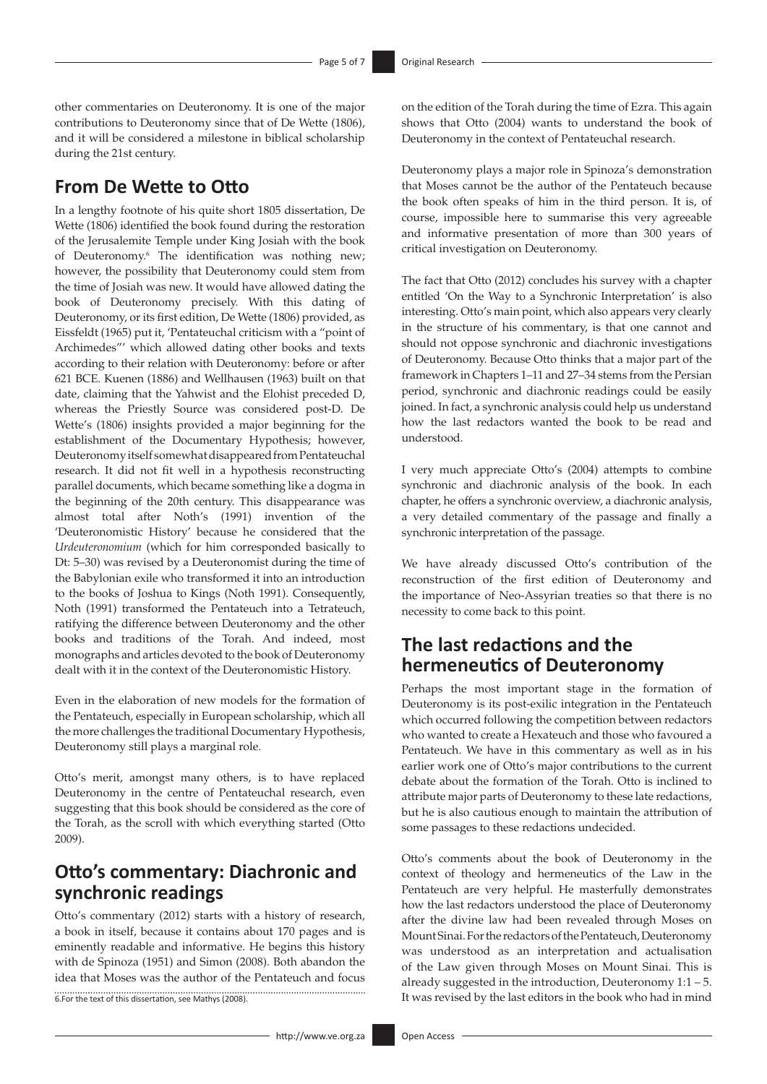other commentaries on Deuteronomy. It is one of the major contributions to Deuteronomy since that of De Wette (1806), and it will be considered a milestone in biblical scholarship during the 21st century.

# **From De Wette to Otto**

In a lengthy footnote of his quite short 1805 dissertation, De Wette (1806) identified the book found during the restoration of the Jerusalemite Temple under King Josiah with the book of Deuteronomy.6 The identification was nothing new; however, the possibility that Deuteronomy could stem from the time of Josiah was new. It would have allowed dating the book of Deuteronomy precisely. With this dating of Deuteronomy, or its first edition, De Wette (1806) provided, as Eissfeldt (1965) put it, 'Pentateuchal criticism with a "point of Archimedes"' which allowed dating other books and texts according to their relation with Deuteronomy: before or after 621 BCE. Kuenen (1886) and Wellhausen (1963) built on that date, claiming that the Yahwist and the Elohist preceded D, whereas the Priestly Source was considered post-D. De Wette's (1806) insights provided a major beginning for the establishment of the Documentary Hypothesis; however, Deuteronomy itself somewhat disappeared from Pentateuchal research. It did not fit well in a hypothesis reconstructing parallel documents, which became something like a dogma in the beginning of the 20th century. This disappearance was almost total after Noth's (1991) invention of the 'Deuteronomistic History' because he considered that the *Urdeuteronomium* (which for him corresponded basically to Dt: 5–30) was revised by a Deuteronomist during the time of the Babylonian exile who transformed it into an introduction to the books of Joshua to Kings (Noth 1991). Consequently, Noth (1991) transformed the Pentateuch into a Tetrateuch, ratifying the difference between Deuteronomy and the other books and traditions of the Torah. And indeed, most monographs and articles devoted to the book of Deuteronomy dealt with it in the context of the Deuteronomistic History.

Even in the elaboration of new models for the formation of the Pentateuch, especially in European scholarship, which all the more challenges the traditional Documentary Hypothesis, Deuteronomy still plays a marginal role.

Otto's merit, amongst many others, is to have replaced Deuteronomy in the centre of Pentateuchal research, even suggesting that this book should be considered as the core of the Torah, as the scroll with which everything started (Otto 2009).

#### **Otto's commentary: Diachronic and synchronic readings**

Otto's commentary (2012) starts with a history of research, a book in itself, because it contains about 170 pages and is eminently readable and informative. He begins this history with de Spinoza (1951) and Simon (2008). Both abandon the idea that Moses was the author of the Pentateuch and focus 6.For the text of this dissertation, see Mathys (2008).

on the edition of the Torah during the time of Ezra. This again shows that Otto (2004) wants to understand the book of Deuteronomy in the context of Pentateuchal research.

Deuteronomy plays a major role in Spinoza's demonstration that Moses cannot be the author of the Pentateuch because the book often speaks of him in the third person. It is, of course, impossible here to summarise this very agreeable and informative presentation of more than 300 years of critical investigation on Deuteronomy.

The fact that Otto (2012) concludes his survey with a chapter entitled 'On the Way to a Synchronic Interpretation' is also interesting. Otto's main point, which also appears very clearly in the structure of his commentary, is that one cannot and should not oppose synchronic and diachronic investigations of Deuteronomy. Because Otto thinks that a major part of the framework in Chapters 1–11 and 27–34 stems from the Persian period, synchronic and diachronic readings could be easily joined. In fact, a synchronic analysis could help us understand how the last redactors wanted the book to be read and understood.

I very much appreciate Otto's (2004) attempts to combine synchronic and diachronic analysis of the book. In each chapter, he offers a synchronic overview, a diachronic analysis, a very detailed commentary of the passage and finally a synchronic interpretation of the passage.

We have already discussed Otto's contribution of the reconstruction of the first edition of Deuteronomy and the importance of Neo-Assyrian treaties so that there is no necessity to come back to this point.

#### **The last redactions and the hermeneutics of Deuteronomy**

Perhaps the most important stage in the formation of Deuteronomy is its post-exilic integration in the Pentateuch which occurred following the competition between redactors who wanted to create a Hexateuch and those who favoured a Pentateuch. We have in this commentary as well as in his earlier work one of Otto's major contributions to the current debate about the formation of the Torah. Otto is inclined to attribute major parts of Deuteronomy to these late redactions, but he is also cautious enough to maintain the attribution of some passages to these redactions undecided.

Otto's comments about the book of Deuteronomy in the context of theology and hermeneutics of the Law in the Pentateuch are very helpful. He masterfully demonstrates how the last redactors understood the place of Deuteronomy after the divine law had been revealed through Moses on Mount Sinai. For the redactors of the Pentateuch, Deuteronomy was understood as an interpretation and actualisation of the Law given through Moses on Mount Sinai. This is already suggested in the introduction, Deuteronomy 1:1 – 5. It was revised by the last editors in the book who had in mind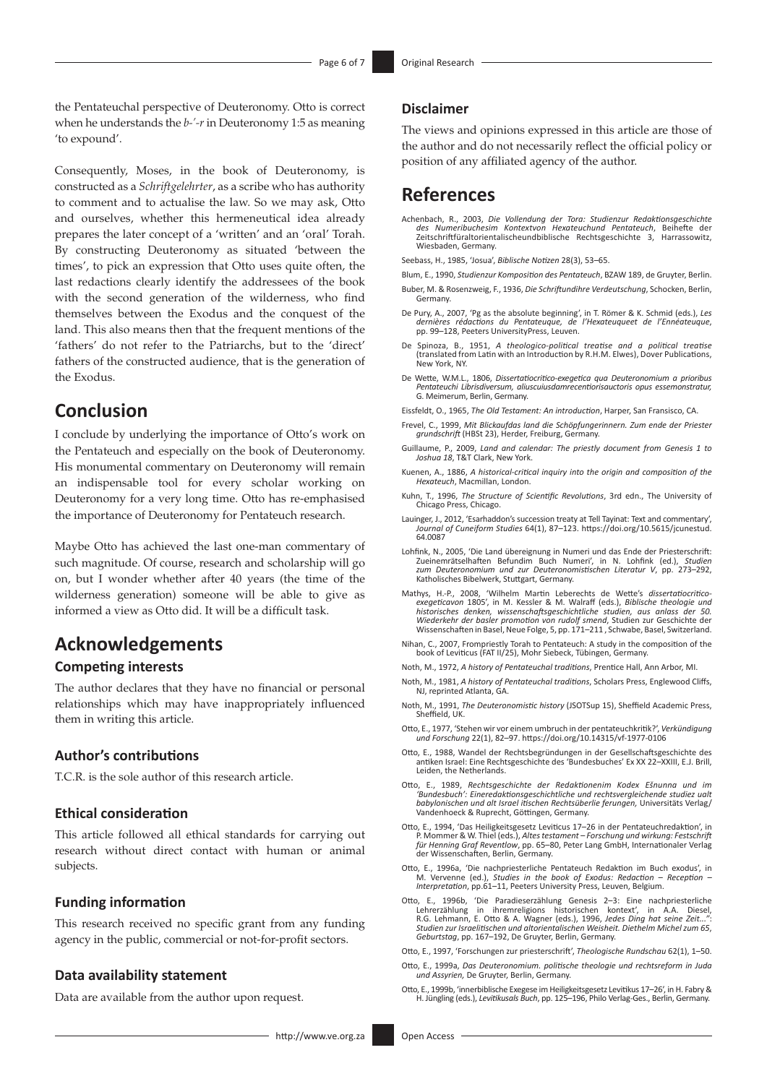the Pentateuchal perspective of Deuteronomy. Otto is correct when he understands the *b-'-r* in Deuteronomy 1:5 as meaning 'to expound'.

Consequently, Moses, in the book of Deuteronomy, is constructed as a *Schriftgelehrter*, as a scribe who has authority to comment and to actualise the law. So we may ask, Otto and ourselves, whether this hermeneutical idea already prepares the later concept of a 'written' and an 'oral' Torah. By constructing Deuteronomy as situated 'between the times', to pick an expression that Otto uses quite often, the last redactions clearly identify the addressees of the book with the second generation of the wilderness, who find themselves between the Exodus and the conquest of the land. This also means then that the frequent mentions of the 'fathers' do not refer to the Patriarchs, but to the 'direct' fathers of the constructed audience, that is the generation of the Exodus.

#### **Conclusion**

I conclude by underlying the importance of Otto's work on the Pentateuch and especially on the book of Deuteronomy. His monumental commentary on Deuteronomy will remain an indispensable tool for every scholar working on Deuteronomy for a very long time. Otto has re-emphasised the importance of Deuteronomy for Pentateuch research.

Maybe Otto has achieved the last one-man commentary of such magnitude. Of course, research and scholarship will go on, but I wonder whether after 40 years (the time of the wilderness generation) someone will be able to give as informed a view as Otto did. It will be a difficult task.

#### **Acknowledgements**

#### **Competing interests**

The author declares that they have no financial or personal relationships which may have inappropriately influenced them in writing this article.

#### **Author's contributions**

T.C.R. is the sole author of this research article.

#### **Ethical consideration**

This article followed all ethical standards for carrying out research without direct contact with human or animal subjects.

#### **Funding information**

This research received no specific grant from any funding agency in the public, commercial or not-for-profit sectors.

#### **Data availability statement**

Data are available from the author upon request.

#### **Disclaimer**

The views and opinions expressed in this article are those of the author and do not necessarily reflect the official policy or position of any affiliated agency of the author.

#### **References**

Achenbach, R., 2003, *Die Vollendung der Tora: Studienzur Redaktionsgeschichte des Numeribuchesim Kontextvon Hexateuchund Pentateuch*, Beihefte der Zeitschriftfüraltorientalischeundbiblische Rechtsgeschichte 3, Harrassowitz, Wiesbaden, Germany.

Seebass, H., 1985, 'Josua', *Biblische Notizen* 28(3), 53–65.

- Blum, E., 1990, *Studienzur Komposition des Pentateuch*, BZAW 189, de Gruyter, Berlin.
- Buber, M. & Rosenzweig, F., 1936, *Die Schriftundihre Verdeutschung*, Schocken, Berlin, Germany.
- De Pury, A., 2007, 'Pg as the absolute beginning', in T. Römer & K. Schmid (eds.), *Les dernières rédactions du Pentateuque, de l'Hexateuqueet de l'Ennéateuque*, pp. 99–128, Peeters UniversityPress, Leuven.
- De Spinoza, B., 1951, *A theologico-political treatise and a political treatise*  (translated from Latin with an Introduction by R.H.M. Elwes), Dover Publications, New York, NY.
- De Wette, W.M.L., 1806, *Dissertatiocritico-exegetica qua Deuteronomium a prioribus Pentateuchi Librisdiversum, aliuscuiusdamrecentiorisauctoris opus essemonstratur,*  G. Meimerum, Berlin, Germany.
- Eissfeldt, O., 1965, *The Old Testament: An introduction*, Harper, San Fransisco, CA.
- Frevel, C., 1999, *Mit Blickaufdas land die Schöpfungerinnern. Zum ende der Priester grundschrift* (HBSt 23), Herder, Freiburg, Germany.
- Guillaume, P., 2009, *Land and calendar: The priestly document from Genesis 1 to Joshua 18*, T&T Clark, New York.
- Kuenen, A., 1886, *A historical-critical inquiry into the origin and composition of the Hexateuch*, Macmillan, London.
- Kuhn, T., 1996, *The Structure of Scientific Revolutions*, 3rd edn., The University of Chicago Press, Chicago.
- Lauinger, J., 2012, 'Esarhaddon's succession treaty at Tell Tayinat: Text and commentary', *Journal of Cuneiform Studies* 64(1), 87–123. [https://doi.org/10.5615/jcunestud.](https://doi.org/10.5615/jcunestud.64.0087) [64.0087](https://doi.org/10.5615/jcunestud.64.0087)
- Lohfink, N., 2005, 'Die Land übereignung in Numeri und das Ende der Priesterschrift: Zueinemrätselhaften Befundim Buch Numeri', in N. Lohfink (ed.), *Studien zum Deuteronomium und zur Deuteronomistischen Literatur V*, pp. 273–292, Katholisches Bibelwerk, Stuttgart, Germany.
- Mathys, H.-P., 2008, 'Wilhelm Martin Leberechts de Wette's *dissertatiocritico-exegeticavon* 1805', in M. Kessler & M. Walraff (eds.), *Biblische theologie und historisches denken, wissenschaftsgeschichtliche studien, aus anlass der 50. Wiederkehr der basler promotion von rudolf smend*, Studien zur Geschichte der Wissenschaften in Basel, Neue Folge, 5, pp. 171–211 , Schwabe, Basel, Switzerland.
- Nihan, C., 2007, Frompriestly Torah to Pentateuch: A study in the composition of the book of Leviticus (FAT II/25), Mohr Siebeck, Tübingen, Germany.
- Noth, M., 1972, *A history of Pentateuchal traditions*, Prentice Hall, Ann Arbor, MI.
- Noth, M., 1981, *A history of Pentateuchal traditions*, Scholars Press, Englewood Cliffs, NJ, reprinted Atlanta, GA.
- Noth, M., 1991, *The Deuteronomistic history* (JSOTSup 15), Sheffield Academic Press, Sheffield, UK.
- Otto, E., 1977, 'Stehen wir vor einem umbruch in der pentateuchkritik?', *Verkündigung und Forschung* 22(1), 82–97.<https://doi.org/10.14315/vf-1977-0106>
- Otto, E., 1988, Wandel der Rechtsbegründungen in der Gesellschaftsgeschichte des antiken Israel: Eine Rechtsgeschichte des 'Bundesbuches' Ex XX 22–XXIII, E.J. Brill, Leiden, the Netherlands.
- Otto, E., 1989, *Rechtsgeschichte der Redaktionenim Kodex Ešnunna und im 'Bundesbuch': Eineredaktionsgeschichtliche und rechtsvergleichende studiez ualt babylonischen und alt Israel itischen Rechtsüberlie ferungen,* Universitäts Verlag/ Vandenhoeck & Ruprecht, Göttingen, Germany.
- Otto, E., 1994, 'Das Heiligkeitsgesetz Leviticus 17–26 in der Pentateuchredaktion', in P. Mommer & W. Thiel (eds.), *Altes testament Forschung und wirkung: Festschrift für Henning Graf Reventlow*, pp. 65–80, Peter Lang GmbH, Internationaler Verlag der Wissenschaften, Berlin, Germany.
- Otto, E., 1996a, 'Die nachpriesterliche Pentateuch Redaktion im Buch exodus', in M. Vervenne (ed.), *Studies in the book of Exodus: Redaction - Reception Interpretation*, pp.61–11, Peeters University Press, Leuven, Belgium.
- Otto, E., 1996b, 'Die Paradieserzählung Genesis 2–3: Eine nachpriesterliche Lehrerzählung in ihremreligions historischen kontext', in A.A. Diesel, R.G. Lehmann, E. Otto & A. Wagner (eds.), 1996, *Jedes Ding hat seine Zeit..."*: *Studien zur Israelitischen und altorientalischen Weisheit. Diethelm Michel zum 65*, *Geburtstag*, pp. 167–192, De Gruyter, Berlin, Germany.
- Otto, E., 1997, 'Forschungen zur priesterschrift', *Theologische Rundschau* 62(1), 1–50.
- Otto, E., 1999a, *Das Deuteronomium. politische theologie und rechtsreform in Juda und Assyrien,* De Gruyter, Berlin, Germany.
- Otto, E., 1999b, 'innerbiblische Exegese im Heiligkeitsgesetz Levitikus 17–26', in H. Fabry & H. Jüngling (eds.), *Levitikusals Buch*, pp. 125–196, Philo Verlag-Ges., Berlin, Germany.